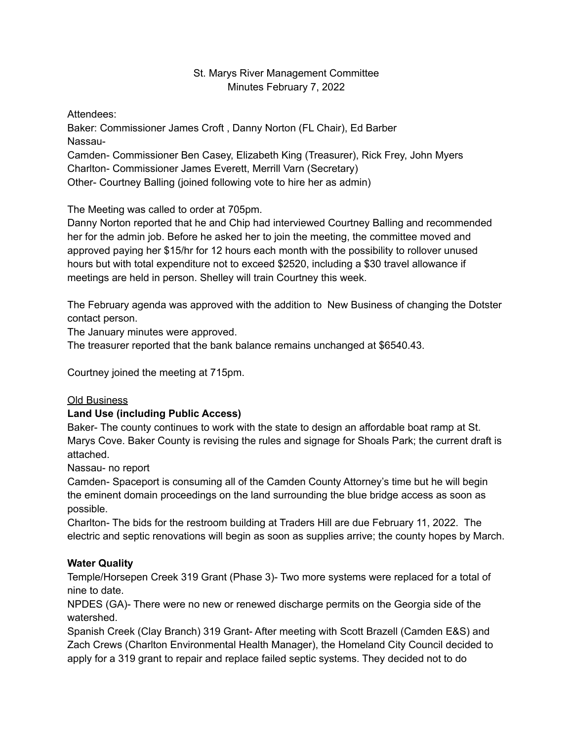#### St. Marys River Management Committee Minutes February 7, 2022

Attendees:

Baker: Commissioner James Croft , Danny Norton (FL Chair), Ed Barber Nassau-

Camden- Commissioner Ben Casey, Elizabeth King (Treasurer), Rick Frey, John Myers Charlton- Commissioner James Everett, Merrill Varn (Secretary)

Other- Courtney Balling (joined following vote to hire her as admin)

The Meeting was called to order at 705pm.

Danny Norton reported that he and Chip had interviewed Courtney Balling and recommended her for the admin job. Before he asked her to join the meeting, the committee moved and approved paying her \$15/hr for 12 hours each month with the possibility to rollover unused hours but with total expenditure not to exceed \$2520, including a \$30 travel allowance if meetings are held in person. Shelley will train Courtney this week.

The February agenda was approved with the addition to New Business of changing the Dotster contact person.

The January minutes were approved.

The treasurer reported that the bank balance remains unchanged at \$6540.43.

Courtney joined the meeting at 715pm.

# Old Business

# **Land Use (including Public Access)**

Baker- The county continues to work with the state to design an affordable boat ramp at St. Marys Cove. Baker County is revising the rules and signage for Shoals Park; the current draft is attached.

Nassau- no report

Camden- Spaceport is consuming all of the Camden County Attorney's time but he will begin the eminent domain proceedings on the land surrounding the blue bridge access as soon as possible.

Charlton- The bids for the restroom building at Traders Hill are due February 11, 2022. The electric and septic renovations will begin as soon as supplies arrive; the county hopes by March.

# **Water Quality**

Temple/Horsepen Creek 319 Grant (Phase 3)- Two more systems were replaced for a total of nine to date.

NPDES (GA)- There were no new or renewed discharge permits on the Georgia side of the watershed.

Spanish Creek (Clay Branch) 319 Grant- After meeting with Scott Brazell (Camden E&S) and Zach Crews (Charlton Environmental Health Manager), the Homeland City Council decided to apply for a 319 grant to repair and replace failed septic systems. They decided not to do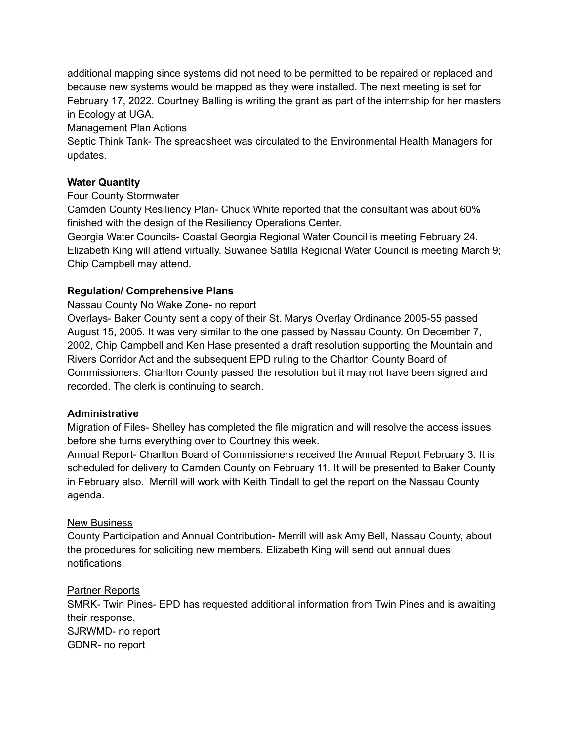additional mapping since systems did not need to be permitted to be repaired or replaced and because new systems would be mapped as they were installed. The next meeting is set for February 17, 2022. Courtney Balling is writing the grant as part of the internship for her masters in Ecology at UGA.

Management Plan Actions

Septic Think Tank- The spreadsheet was circulated to the Environmental Health Managers for updates.

#### **Water Quantity**

Four County Stormwater

Camden County Resiliency Plan- Chuck White reported that the consultant was about 60% finished with the design of the Resiliency Operations Center.

Georgia Water Councils- Coastal Georgia Regional Water Council is meeting February 24. Elizabeth King will attend virtually. Suwanee Satilla Regional Water Council is meeting March 9; Chip Campbell may attend.

# **Regulation/ Comprehensive Plans**

Nassau County No Wake Zone- no report

Overlays- Baker County sent a copy of their St. Marys Overlay Ordinance 2005-55 passed August 15, 2005. It was very similar to the one passed by Nassau County. On December 7, 2002, Chip Campbell and Ken Hase presented a draft resolution supporting the Mountain and Rivers Corridor Act and the subsequent EPD ruling to the Charlton County Board of Commissioners. Charlton County passed the resolution but it may not have been signed and recorded. The clerk is continuing to search.

#### **Administrative**

Migration of Files- Shelley has completed the file migration and will resolve the access issues before she turns everything over to Courtney this week.

Annual Report- Charlton Board of Commissioners received the Annual Report February 3. It is scheduled for delivery to Camden County on February 11. It will be presented to Baker County in February also. Merrill will work with Keith Tindall to get the report on the Nassau County agenda.

# New Business

County Participation and Annual Contribution- Merrill will ask Amy Bell, Nassau County, about the procedures for soliciting new members. Elizabeth King will send out annual dues notifications.

#### Partner Reports

SMRK- Twin Pines- EPD has requested additional information from Twin Pines and is awaiting their response. SJRWMD- no report GDNR- no report